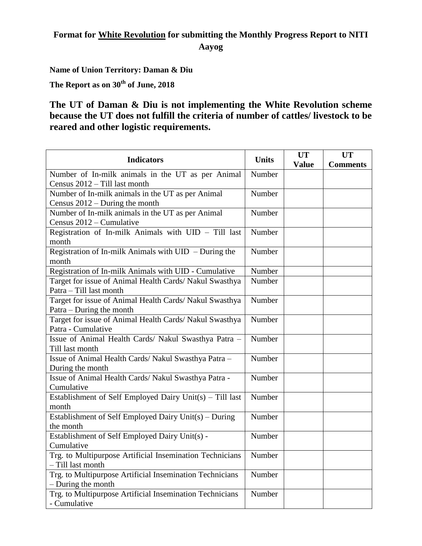## **Format for White Revolution for submitting the Monthly Progress Report to NITI Aayog**

**Name of Union Territory: Daman & Diu**

**The Report as on 30 th of June, 2018**

## **The UT of Daman & Diu is not implementing the White Revolution scheme because the UT does not fulfill the criteria of number of cattles/ livestock to be reared and other logistic requirements.**

| <b>Indicators</b>                                        | <b>Units</b> | <b>UT</b>    | <b>UT</b>       |
|----------------------------------------------------------|--------------|--------------|-----------------|
|                                                          |              | <b>Value</b> | <b>Comments</b> |
| Number of In-milk animals in the UT as per Animal        | Number       |              |                 |
| Census 2012 - Till last month                            |              |              |                 |
| Number of In-milk animals in the UT as per Animal        | Number       |              |                 |
| Census $2012 - During the month$                         |              |              |                 |
| Number of In-milk animals in the UT as per Animal        | Number       |              |                 |
| Census 2012 – Cumulative                                 |              |              |                 |
| Registration of In-milk Animals with UID - Till last     | Number       |              |                 |
| month                                                    |              |              |                 |
| Registration of In-milk Animals with $UID - During the$  | Number       |              |                 |
| month                                                    |              |              |                 |
| Registration of In-milk Animals with UID - Cumulative    | Number       |              |                 |
| Target for issue of Animal Health Cards/ Nakul Swasthya  | Number       |              |                 |
| Patra - Till last month                                  |              |              |                 |
| Target for issue of Animal Health Cards/ Nakul Swasthya  | Number       |              |                 |
| Patra – During the month                                 |              |              |                 |
| Target for issue of Animal Health Cards/ Nakul Swasthya  | Number       |              |                 |
| Patra - Cumulative                                       |              |              |                 |
| Issue of Animal Health Cards/ Nakul Swasthya Patra -     | Number       |              |                 |
| Till last month                                          |              |              |                 |
| Issue of Animal Health Cards/ Nakul Swasthya Patra -     | Number       |              |                 |
| During the month                                         |              |              |                 |
| Issue of Animal Health Cards/ Nakul Swasthya Patra -     | Number       |              |                 |
| Cumulative                                               |              |              |                 |
| Establishment of Self Employed Dairy Unit(s) - Till last | Number       |              |                 |
| month                                                    |              |              |                 |
| Establishment of Self Employed Dairy Unit(s) – During    | Number       |              |                 |
| the month                                                |              |              |                 |
| Establishment of Self Employed Dairy Unit(s) -           | Number       |              |                 |
| Cumulative                                               |              |              |                 |
| Trg. to Multipurpose Artificial Insemination Technicians | Number       |              |                 |
| - Till last month                                        |              |              |                 |
| Trg. to Multipurpose Artificial Insemination Technicians | Number       |              |                 |
| - During the month                                       |              |              |                 |
| Trg. to Multipurpose Artificial Insemination Technicians | Number       |              |                 |
| - Cumulative                                             |              |              |                 |